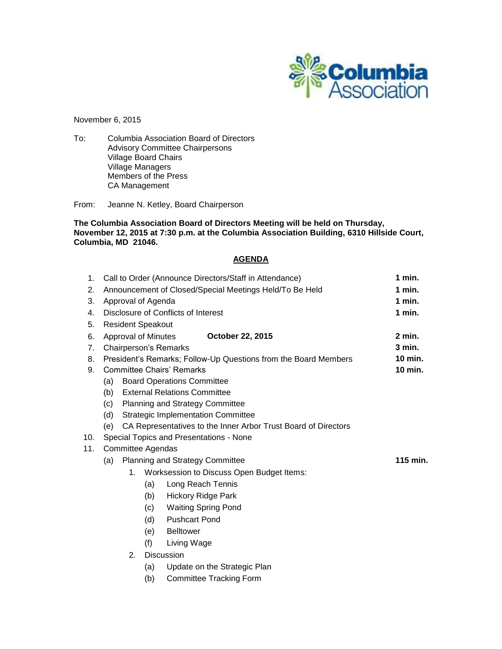

November 6, 2015

To: Columbia Association Board of Directors Advisory Committee Chairpersons Village Board Chairs Village Managers Members of the Press CA Management

From: Jeanne N. Ketley, Board Chairperson

**The Columbia Association Board of Directors Meeting will be held on Thursday, November 12, 2015 at 7:30 p.m. at the Columbia Association Building, 6310 Hillside Court, Columbia, MD 21046.**

# **AGENDA**

| 1.          |                                                                       | Call to Order (Announce Directors/Staff in Attendance)          | 1 min.                       |                                           |  |  |  |  |  |  |
|-------------|-----------------------------------------------------------------------|-----------------------------------------------------------------|------------------------------|-------------------------------------------|--|--|--|--|--|--|
| 2.          | Announcement of Closed/Special Meetings Held/To Be Held               | 1 min.                                                          |                              |                                           |  |  |  |  |  |  |
| 3.          | Approval of Agenda                                                    | 1 min.                                                          |                              |                                           |  |  |  |  |  |  |
| 4.          | Disclosure of Conflicts of Interest                                   | 1 min.                                                          |                              |                                           |  |  |  |  |  |  |
| 5.          |                                                                       | <b>Resident Speakout</b>                                        |                              |                                           |  |  |  |  |  |  |
| 6.          |                                                                       | <b>Approval of Minutes</b>                                      |                              | $2$ min.                                  |  |  |  |  |  |  |
| $7_{\cdot}$ |                                                                       |                                                                 | <b>Chairperson's Remarks</b> |                                           |  |  |  |  |  |  |
| 8.          |                                                                       | President's Remarks; Follow-Up Questions from the Board Members | 10 min.                      |                                           |  |  |  |  |  |  |
| 9.          | <b>Committee Chairs' Remarks</b>                                      | 10 min.                                                         |                              |                                           |  |  |  |  |  |  |
|             | (a)                                                                   |                                                                 |                              |                                           |  |  |  |  |  |  |
|             | <b>External Relations Committee</b><br>(b)                            |                                                                 |                              |                                           |  |  |  |  |  |  |
|             | <b>Planning and Strategy Committee</b><br>(c)                         |                                                                 |                              |                                           |  |  |  |  |  |  |
|             | (d)<br><b>Strategic Implementation Committee</b>                      |                                                                 |                              |                                           |  |  |  |  |  |  |
|             | CA Representatives to the Inner Arbor Trust Board of Directors<br>(e) |                                                                 |                              |                                           |  |  |  |  |  |  |
| 10.         | Special Topics and Presentations - None                               |                                                                 |                              |                                           |  |  |  |  |  |  |
| 11.         | Committee Agendas                                                     |                                                                 |                              |                                           |  |  |  |  |  |  |
|             | 115 min.<br><b>Planning and Strategy Committee</b><br>(a)             |                                                                 |                              |                                           |  |  |  |  |  |  |
|             |                                                                       | 1.                                                              |                              | Worksession to Discuss Open Budget Items: |  |  |  |  |  |  |
|             |                                                                       |                                                                 | (a)                          | Long Reach Tennis                         |  |  |  |  |  |  |
|             |                                                                       |                                                                 | (b)                          | <b>Hickory Ridge Park</b>                 |  |  |  |  |  |  |
|             |                                                                       |                                                                 | (c)                          | <b>Waiting Spring Pond</b>                |  |  |  |  |  |  |
|             |                                                                       |                                                                 | (d)                          | <b>Pushcart Pond</b>                      |  |  |  |  |  |  |
|             |                                                                       |                                                                 | (e)                          | <b>Belltower</b>                          |  |  |  |  |  |  |
|             |                                                                       |                                                                 | (f)                          | Living Wage                               |  |  |  |  |  |  |
|             |                                                                       |                                                                 |                              |                                           |  |  |  |  |  |  |
|             |                                                                       |                                                                 | (a)                          | Update on the Strategic Plan              |  |  |  |  |  |  |
|             |                                                                       |                                                                 | (b)                          | <b>Committee Tracking Form</b>            |  |  |  |  |  |  |